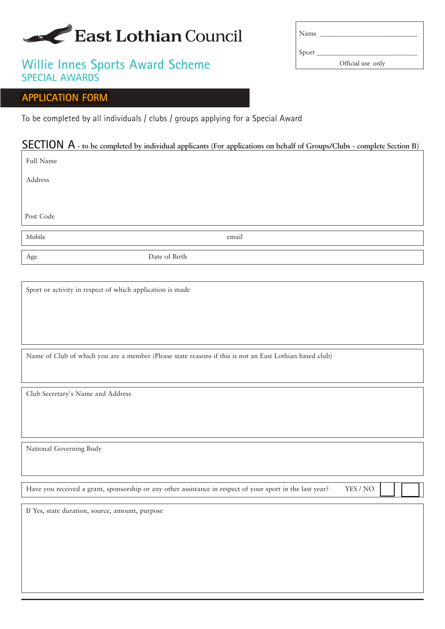# East Lothian Council

# **Willie Innes Sports Award Scheme SPECIAL AWARDS**

### **APPLICATION FORM**

To be completed by all individuals / clubs / groups applying for a Special Award

# **SECTION A - to be completed by individual applicants (For applications on behalf of Groups/Clubs - complete Section B)**

Full Name

Address

Post Code

Age Date of Birth

Sport or activity in respect of which application is made

Name of Club of which you are a member (Please state reasons if this is not an East Lothian based club)

Club Secretary's Name and Address

National Governing Body

Have you received a grant, sponsorship or any other assistance in respect of your sport in the last year? YES / NO

If Yes, state duration, source, amount, purpose

| Name  |                   |
|-------|-------------------|
| Sport |                   |
|       | Official use only |

Mobile **email**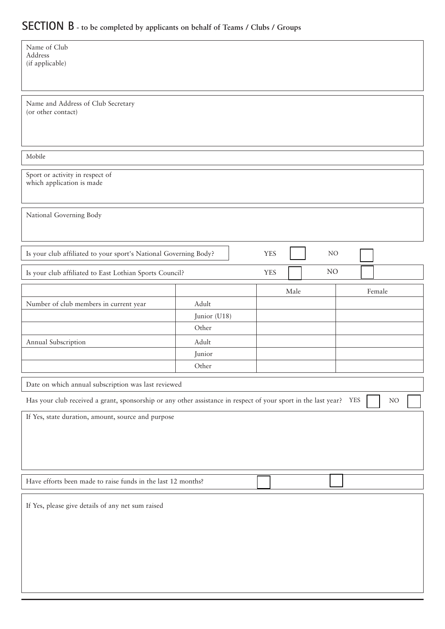# **SECTION B - to be completed by applicants on behalf of Teams / Clubs / Groups**

| Name of Club<br>Address<br>(if applicable)                                                                                               |                                                   |            |        |          |  |  |  |  |
|------------------------------------------------------------------------------------------------------------------------------------------|---------------------------------------------------|------------|--------|----------|--|--|--|--|
| Name and Address of Club Secretary<br>(or other contact)                                                                                 |                                                   |            |        |          |  |  |  |  |
| Mobile                                                                                                                                   |                                                   |            |        |          |  |  |  |  |
| Sport or activity in respect of<br>which application is made                                                                             |                                                   |            |        |          |  |  |  |  |
| National Governing Body                                                                                                                  |                                                   |            |        |          |  |  |  |  |
| Is your club affiliated to your sport's National Governing Body?                                                                         |                                                   |            |        |          |  |  |  |  |
| Is your club affiliated to East Lothian Sports Council?                                                                                  | <b>YES</b>                                        |            |        |          |  |  |  |  |
|                                                                                                                                          |                                                   |            | Female |          |  |  |  |  |
| Adult                                                                                                                                    |                                                   |            |        |          |  |  |  |  |
|                                                                                                                                          |                                                   |            |        |          |  |  |  |  |
|                                                                                                                                          |                                                   |            |        |          |  |  |  |  |
|                                                                                                                                          |                                                   |            |        |          |  |  |  |  |
|                                                                                                                                          |                                                   |            |        |          |  |  |  |  |
|                                                                                                                                          |                                                   |            |        |          |  |  |  |  |
| Date on which annual subscription was last reviewed                                                                                      |                                                   |            |        |          |  |  |  |  |
| Has your club received a grant, sponsorship or any other assistance in respect of your sport in the last year?<br><b>YES</b><br>$\rm NO$ |                                                   |            |        |          |  |  |  |  |
| If Yes, state duration, amount, source and purpose                                                                                       |                                                   |            |        |          |  |  |  |  |
| Have efforts been made to raise funds in the last 12 months?                                                                             |                                                   |            |        |          |  |  |  |  |
|                                                                                                                                          |                                                   |            |        |          |  |  |  |  |
|                                                                                                                                          | Junior (U18)<br>Other<br>Adult<br>Junior<br>Other | <b>YES</b> | Male   | NO<br>NO |  |  |  |  |